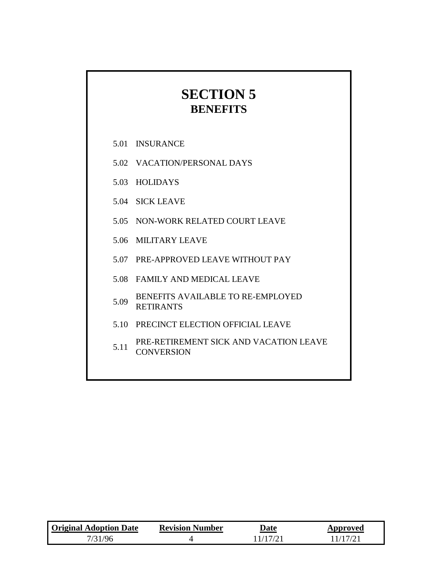# **SECTION 5 BENEFITS**

- 5.01 INSURANCE
- 5.02 VACATION/PERSONAL DAYS
- 5.03 HOLIDAYS
- 5.04 SICK LEAVE
- 5.05 NON-WORK RELATED COURT LEAVE
- 5.06 MILITARY LEAVE
- 5.07 PRE-APPROVED LEAVE WITHOUT PAY
- 5.08 FAMILY AND MEDICAL LEAVE
- 5.09 BENEFITS AVAILABLE TO RE-EMPLOYED RETIRANTS
- 5.10 PRECINCT ELECTION OFFICIAL LEAVE
- PRE-RETIREMENT SICK AND VACATION LEAVE 5.11 CONVERSION

| <b>Original Adoption Date</b> | <b>Revision Number</b> | Date | Approved |
|-------------------------------|------------------------|------|----------|
| 'Yf.                          |                        |      |          |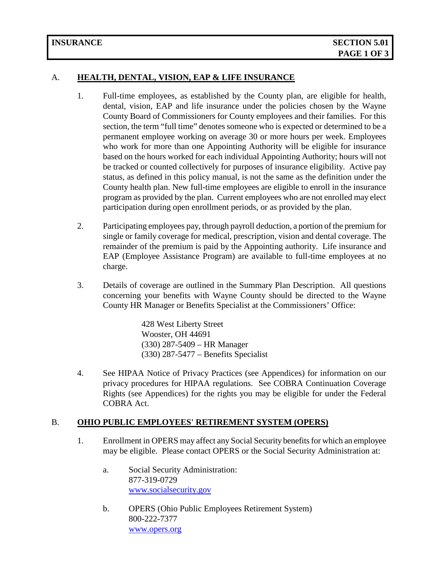### A. **HEALTH, DENTAL, VISION, EAP & LIFE INSURANCE**

- 1. Full-time employees, as established by the County plan, are eligible for health, dental, vision, EAP and life insurance under the policies chosen by the Wayne County Board of Commissioners for County employees and their families. For this section, the term "full time" denotes someone who is expected or determined to be a permanent employee working on average 30 or more hours per week. Employees who work for more than one Appointing Authority will be eligible for insurance based on the hours worked for each individual Appointing Authority; hours will not be tracked or counted collectively for purposes of insurance eligibility. Active pay status, as defined in this policy manual, is not the same as the definition under the County health plan. New full-time employees are eligible to enroll in the insurance program as provided by the plan. Current employees who are not enrolled may elect participation during open enrollment periods, or as provided by the plan.
- 2. Participating employees pay, through payroll deduction, a portion of the premium for single or family coverage for medical, prescription, vision and dental coverage. The remainder of the premium is paid by the Appointing authority. Life insurance and EAP (Employee Assistance Program) are available to full-time employees at no charge.
- 3. Details of coverage are outlined in the Summary Plan Description. All questions concerning your benefits with Wayne County should be directed to the Wayne County HR Manager or Benefits Specialist at the Commissioners' Office:

428 West Liberty Street Wooster, OH 44691 (330) 287-5409 – HR Manager (330) 287-5477 – Benefits Specialist

4. See HIPAA Notice of Privacy Practices (see Appendices) for information on our privacy procedures for HIPAA regulations. See COBRA Continuation Coverage Rights (see Appendices) for the rights you may be eligible for under the Federal COBRA Act.

#### B. **OHIO PUBLIC EMPLOYEES' RETIREMENT SYSTEM (OPERS)**

- 1. Enrollment in OPERS may affect any Social Security benefits for which an employee may be eligible. Please contact OPERS or the Social Security Administration at:
	- a. Social Security Administration: 877-319-0729 [www.socialsecurity.gov](http://www.socialsecurity.gov/)
	- b. OPERS (Ohio Public Employees Retirement System) 800-222-7377 [www.opers.org](http://www.opers.org/)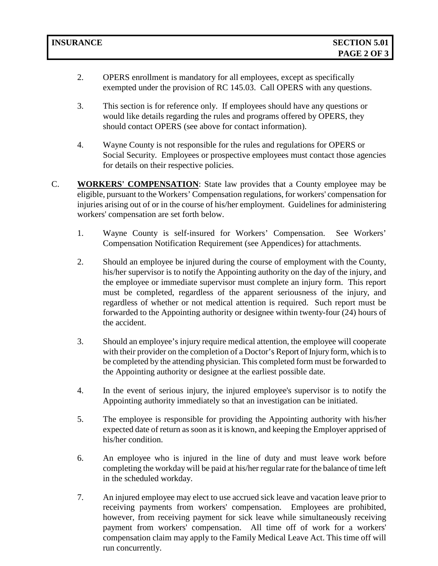- 2. OPERS enrollment is mandatory for all employees, except as specifically exempted under the provision of RC 145.03. Call OPERS with any questions.
- 3. This section is for reference only. If employees should have any questions or would like details regarding the rules and programs offered by OPERS, they should contact OPERS (see above for contact information).
- 4. Wayne County is not responsible for the rules and regulations for OPERS or Social Security. Employees or prospective employees must contact those agencies for details on their respective policies.
- C. **WORKERS' COMPENSATION**: State law provides that a County employee may be eligible, pursuant to the Workers' Compensation regulations, for workers' compensation for injuries arising out of or in the course of his/her employment. Guidelines for administering workers' compensation are set forth below.
	- 1. Wayne County is self-insured for Workers' Compensation. See Workers' Compensation Notification Requirement (see Appendices) for attachments.
	- 2. Should an employee be injured during the course of employment with the County, his/her supervisor is to notify the Appointing authority on the day of the injury, and the employee or immediate supervisor must complete an injury form. This report must be completed, regardless of the apparent seriousness of the injury, and regardless of whether or not medical attention is required. Such report must be forwarded to the Appointing authority or designee within twenty-four (24) hours of the accident.
	- 3. Should an employee's injury require medical attention, the employee will cooperate with their provider on the completion of a Doctor's Report of Injury form, which is to be completed by the attending physician. This completed form must be forwarded to the Appointing authority or designee at the earliest possible date.
	- 4. In the event of serious injury, the injured employee's supervisor is to notify the Appointing authority immediately so that an investigation can be initiated.
	- 5. The employee is responsible for providing the Appointing authority with his/her expected date of return as soon as it is known, and keeping the Employer apprised of his/her condition.
	- 6. An employee who is injured in the line of duty and must leave work before completing the workday will be paid at his/her regular rate for the balance of time left in the scheduled workday.
	- 7. An injured employee may elect to use accrued sick leave and vacation leave prior to receiving payments from workers' compensation. Employees are prohibited, however, from receiving payment for sick leave while simultaneously receiving payment from workers' compensation. All time off of work for a workers' compensation claim may apply to the Family Medical Leave Act. This time off will run concurrently.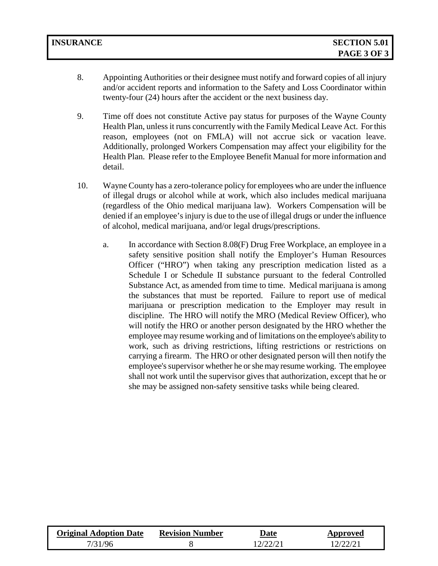- 8. Appointing Authorities or their designee must notify and forward copies of all injury and/or accident reports and information to the Safety and Loss Coordinator within twenty-four (24) hours after the accident or the next business day.
- 9. Time off does not constitute Active pay status for purposes of the Wayne County Health Plan, unless it runs concurrently with the Family Medical Leave Act. For this reason, employees (not on FMLA) will not accrue sick or vacation leave. Additionally, prolonged Workers Compensation may affect your eligibility for the Health Plan. Please refer to the Employee Benefit Manual for more information and detail.
- 10. Wayne County has a zero-tolerance policy for employees who are under the influence of illegal drugs or alcohol while at work, which also includes medical marijuana (regardless of the Ohio medical marijuana law). Workers Compensation will be denied if an employee's injury is due to the use of illegal drugs or under the influence of alcohol, medical marijuana, and/or legal drugs/prescriptions.
	- a. In accordance with Section 8.08(F) Drug Free Workplace, an employee in a safety sensitive position shall notify the Employer's Human Resources Officer ("HRO") when taking any prescription medication listed as a Schedule I or Schedule II substance pursuant to the federal Controlled Substance Act, as amended from time to time. Medical marijuana is among the substances that must be reported. Failure to report use of medical marijuana or prescription medication to the Employer may result in discipline. The HRO will notify the MRO (Medical Review Officer), who will notify the HRO or another person designated by the HRO whether the employee may resume working and of limitations on the employee's ability to work, such as driving restrictions, lifting restrictions or restrictions on carrying a firearm. The HRO or other designated person will then notify the employee's supervisor whether he or she may resume working. The employee shall not work until the supervisor gives that authorization, except that he or she may be assigned non-safety sensitive tasks while being cleared.

| <b>Original Adoption Date</b> | <b>Revision Number</b> | Date     | Approved |
|-------------------------------|------------------------|----------|----------|
| 7/31/96                       |                        | 12/22/21 |          |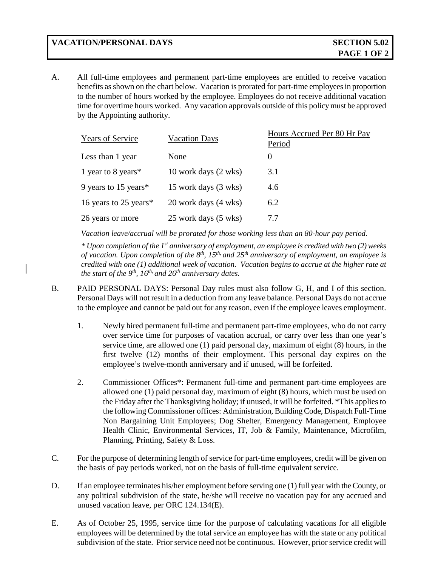A. All full-time employees and permanent part-time employees are entitled to receive vacation benefits as shown on the chart below. Vacation is prorated for part-time employees in proportion to the number of hours worked by the employee. Employees do not receive additional vacation time for overtime hours worked. Any vacation approvals outside of this policy must be approved by the Appointing authority.

| <b>Years of Service</b> | <b>Vacation Days</b> | Hours Accrued Per 80 Hr Pay<br>Period |
|-------------------------|----------------------|---------------------------------------|
| Less than 1 year        | None                 | $\theta$                              |
| 1 year to 8 years*      | 10 work days (2 wks) | 3.1                                   |
| 9 years to 15 years*    | 15 work days (3 wks) | 4.6                                   |
| 16 years to 25 years*   | 20 work days (4 wks) | 6.2                                   |
| 26 years or more        | 25 work days (5 wks) | 7.7                                   |

*Vacation leave/accrual will be prorated for those working less than an 80-hour pay period.* 

*\* Upon completion of the 1st anniversary of employment, an employee is credited with two (2) weeks of vacation. Upon completion of the 8th, 15th, and 25th anniversary of employment, an employee is credited with one (1) additional week of vacation. Vacation begins to accrue at the higher rate at the start of the 9th, 16th, and 26th anniversary dates.*

- B. PAID PERSONAL DAYS: Personal Day rules must also follow G, H, and I of this section. Personal Days will not result in a deduction from any leave balance. Personal Days do not accrue to the employee and cannot be paid out for any reason, even if the employee leaves employment.
	- 1. Newly hired permanent full-time and permanent part-time employees, who do not carry over service time for purposes of vacation accrual, or carry over less than one year's service time, are allowed one (1) paid personal day, maximum of eight (8) hours, in the first twelve (12) months of their employment. This personal day expires on the employee's twelve-month anniversary and if unused, will be forfeited.
	- 2. Commissioner Offices\*: Permanent full-time and permanent part-time employees are allowed one (1) paid personal day, maximum of eight (8) hours, which must be used on the Friday after the Thanksgiving holiday; if unused, it will be forfeited. \*This applies to the following Commissioner offices: Administration, Building Code, Dispatch Full-Time Non Bargaining Unit Employees; Dog Shelter, Emergency Management, Employee Health Clinic, Environmental Services, IT, Job & Family, Maintenance, Microfilm, Planning, Printing, Safety & Loss.
- C. For the purpose of determining length of service for part-time employees, credit will be given on the basis of pay periods worked, not on the basis of full-time equivalent service.
- D. If an employee terminates his/her employment before serving one (1) full year with the County, or any political subdivision of the state, he/she will receive no vacation pay for any accrued and unused vacation leave, per ORC 124.134(E).
- E. As of October 25, 1995, service time for the purpose of calculating vacations for all eligible employees will be determined by the total service an employee has with the state or any political subdivision of the state. Prior service need not be continuous. However, prior service credit will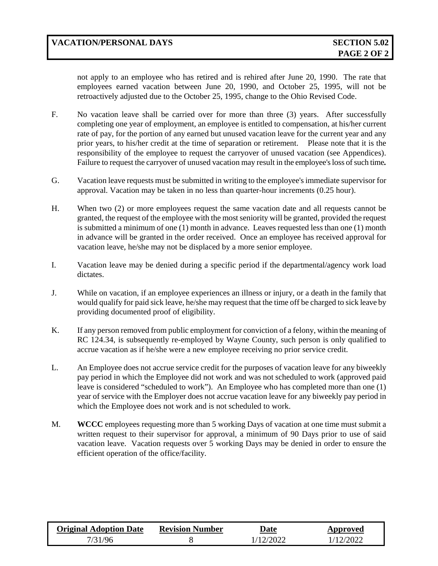not apply to an employee who has retired and is rehired after June 20, 1990. The rate that employees earned vacation between June 20, 1990, and October 25, 1995, will not be retroactively adjusted due to the October 25, 1995, change to the Ohio Revised Code.

- F. No vacation leave shall be carried over for more than three (3) years. After successfully completing one year of employment, an employee is entitled to compensation, at his/her current rate of pay, for the portion of any earned but unused vacation leave for the current year and any prior years, to his/her credit at the time of separation or retirement. Please note that it is the responsibility of the employee to request the carryover of unused vacation (see Appendices). Failure to request the carryover of unused vacation may result in the employee's loss of such time*.*
- G. Vacation leave requests must be submitted in writing to the employee's immediate supervisor for approval. Vacation may be taken in no less than quarter-hour increments (0.25 hour).
- H. When two (2) or more employees request the same vacation date and all requests cannot be granted, the request of the employee with the most seniority will be granted, provided the request is submitted a minimum of one (1) month in advance. Leaves requested less than one (1) month in advance will be granted in the order received. Once an employee has received approval for vacation leave, he/she may not be displaced by a more senior employee.
- I. Vacation leave may be denied during a specific period if the departmental/agency work load dictates.
- J. While on vacation, if an employee experiences an illness or injury, or a death in the family that would qualify for paid sick leave, he/she may request that the time off be charged to sick leave by providing documented proof of eligibility.
- K. If any person removed from public employment for conviction of a felony, within the meaning of RC 124.34, is subsequently re-employed by Wayne County, such person is only qualified to accrue vacation as if he/she were a new employee receiving no prior service credit.
- L. An Employee does not accrue service credit for the purposes of vacation leave for any biweekly pay period in which the Employee did not work and was not scheduled to work (approved paid leave is considered "scheduled to work"). An Employee who has completed more than one (1) year of service with the Employer does not accrue vacation leave for any biweekly pay period in which the Employee does not work and is not scheduled to work.
- M. **WCCC** employees requesting more than 5 working Days of vacation at one time must submit a written request to their supervisor for approval, a minimum of 90 Days prior to use of said vacation leave. Vacation requests over 5 working Days may be denied in order to ensure the efficient operation of the office/facility.

| <b>Original Adoption Date</b> | <b>Revision Number</b> | Date      | Approved  |
|-------------------------------|------------------------|-----------|-----------|
|                               |                        | 1/12/2022 | 1/12/2022 |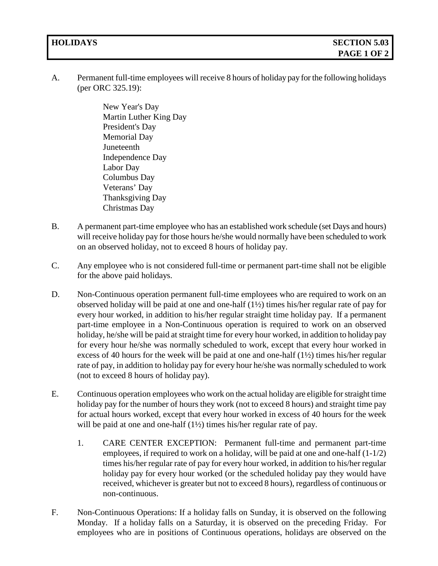A. Permanent full-time employees will receive 8 hours of holiday pay for the following holidays (per ORC 325.19):

> New Year's Day Martin Luther King Day President's Day Memorial Day Juneteenth Independence Day Labor Day Columbus Day Veterans' Day Thanksgiving Day Christmas Day

- B. A permanent part-time employee who has an established work schedule (set Days and hours) will receive holiday pay for those hours he/she would normally have been scheduled to work on an observed holiday, not to exceed 8 hours of holiday pay.
- C. Any employee who is not considered full-time or permanent part-time shall not be eligible for the above paid holidays.
- D. Non-Continuous operation permanent full-time employees who are required to work on an observed holiday will be paid at one and one-half (1½) times his/her regular rate of pay for every hour worked, in addition to his/her regular straight time holiday pay. If a permanent part-time employee in a Non-Continuous operation is required to work on an observed holiday, he/she will be paid at straight time for every hour worked, in addition to holiday pay for every hour he/she was normally scheduled to work, except that every hour worked in excess of 40 hours for the week will be paid at one and one-half (1½) times his/her regular rate of pay, in addition to holiday pay for every hour he/she was normally scheduled to work (not to exceed 8 hours of holiday pay).
- E. Continuous operation employees who work on the actual holiday are eligible for straight time holiday pay for the number of hours they work (not to exceed 8 hours) and straight time pay for actual hours worked, except that every hour worked in excess of 40 hours for the week will be paid at one and one-half (1½) times his/her regular rate of pay.
	- 1. CARE CENTER EXCEPTION: Permanent full-time and permanent part-time employees, if required to work on a holiday, will be paid at one and one-half (1-1/2) times his/her regular rate of pay for every hour worked, in addition to his/her regular holiday pay for every hour worked (or the scheduled holiday pay they would have received, whichever is greater but not to exceed 8 hours), regardless of continuous or non-continuous.
- F. Non-Continuous Operations: If a holiday falls on Sunday, it is observed on the following Monday. If a holiday falls on a Saturday, it is observed on the preceding Friday. For employees who are in positions of Continuous operations, holidays are observed on the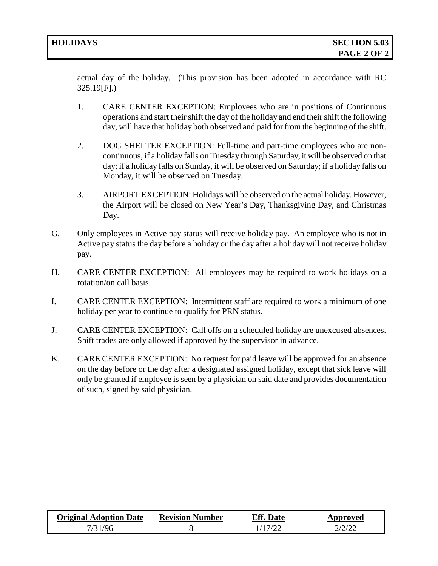actual day of the holiday. (This provision has been adopted in accordance with RC 325.19[F].)

- 1. CARE CENTER EXCEPTION: Employees who are in positions of Continuous operations and start their shift the day of the holiday and end their shift the following day, will have that holiday both observed and paid for from the beginning of the shift.
- 2. DOG SHELTER EXCEPTION: Full-time and part-time employees who are noncontinuous, if a holiday falls on Tuesday through Saturday, it will be observed on that day; if a holiday falls on Sunday, it will be observed on Saturday; if a holiday falls on Monday, it will be observed on Tuesday.
- 3. AIRPORT EXCEPTION: Holidays will be observed on the actual holiday. However, the Airport will be closed on New Year's Day, Thanksgiving Day, and Christmas Day.
- G. Only employees in Active pay status will receive holiday pay. An employee who is not in Active pay status the day before a holiday or the day after a holiday will not receive holiday pay.
- H. CARE CENTER EXCEPTION: All employees may be required to work holidays on a rotation/on call basis.
- I. CARE CENTER EXCEPTION: Intermittent staff are required to work a minimum of one holiday per year to continue to qualify for PRN status.
- J. CARE CENTER EXCEPTION: Call offs on a scheduled holiday are unexcused absences. Shift trades are only allowed if approved by the supervisor in advance.
- K. CARE CENTER EXCEPTION: No request for paid leave will be approved for an absence on the day before or the day after a designated assigned holiday, except that sick leave will only be granted if employee is seen by a physician on said date and provides documentation of such, signed by said physician.

| <b>Original Adoption Date</b> | <b>Revision Number</b> | <b>Eff. Date</b> | Approved |
|-------------------------------|------------------------|------------------|----------|
|                               |                        |                  | າ /ງ /ງາ |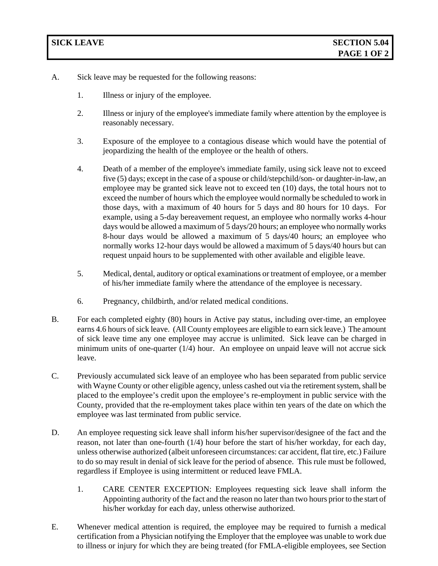- A. Sick leave may be requested for the following reasons:
	- 1. Illness or injury of the employee.
	- 2. Illness or injury of the employee's immediate family where attention by the employee is reasonably necessary.
	- 3. Exposure of the employee to a contagious disease which would have the potential of jeopardizing the health of the employee or the health of others.
	- 4. Death of a member of the employee's immediate family, using sick leave not to exceed five (5) days; except in the case of a spouse or child/stepchild/son- or daughter-in-law, an employee may be granted sick leave not to exceed ten (10) days, the total hours not to exceed the number of hours which the employee would normally be scheduled to work in those days, with a maximum of 40 hours for 5 days and 80 hours for 10 days. For example, using a 5-day bereavement request, an employee who normally works 4-hour days would be allowed a maximum of 5 days/20 hours; an employee who normally works 8-hour days would be allowed a maximum of 5 days/40 hours; an employee who normally works 12-hour days would be allowed a maximum of 5 days/40 hours but can request unpaid hours to be supplemented with other available and eligible leave.
	- 5. Medical, dental, auditory or optical examinations or treatment of employee, or a member of his/her immediate family where the attendance of the employee is necessary.
	- 6. Pregnancy, childbirth, and/or related medical conditions.
- B. For each completed eighty (80) hours in Active pay status, including over-time, an employee earns 4.6 hours of sick leave. (All County employees are eligible to earn sick leave.) The amount of sick leave time any one employee may accrue is unlimited. Sick leave can be charged in minimum units of one-quarter (1/4) hour. An employee on unpaid leave will not accrue sick leave.
- C. Previously accumulated sick leave of an employee who has been separated from public service with Wayne County or other eligible agency, unless cashed out via the retirement system, shall be placed to the employee's credit upon the employee's re-employment in public service with the County, provided that the re-employment takes place within ten years of the date on which the employee was last terminated from public service.
- D. An employee requesting sick leave shall inform his/her supervisor/designee of the fact and the reason, not later than one-fourth (1/4) hour before the start of his/her workday, for each day, unless otherwise authorized (albeit unforeseen circumstances: car accident, flat tire, etc.) Failure to do so may result in denial of sick leave for the period of absence. This rule must be followed, regardless if Employee is using intermittent or reduced leave FMLA.
	- 1. CARE CENTER EXCEPTION: Employees requesting sick leave shall inform the Appointing authority of the fact and the reason no later than two hours prior to the start of his/her workday for each day, unless otherwise authorized.
- E. Whenever medical attention is required, the employee may be required to furnish a medical certification from a Physician notifying the Employer that the employee was unable to work due to illness or injury for which they are being treated (for FMLA-eligible employees, see Section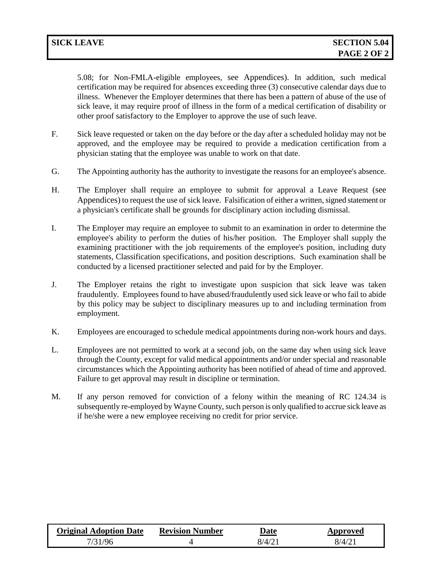5.08; for Non-FMLA-eligible employees, see Appendices). In addition, such medical certification may be required for absences exceeding three (3) consecutive calendar days due to illness. Whenever the Employer determines that there has been a pattern of abuse of the use of sick leave, it may require proof of illness in the form of a medical certification of disability or other proof satisfactory to the Employer to approve the use of such leave.

- F. Sick leave requested or taken on the day before or the day after a scheduled holiday may not be approved, and the employee may be required to provide a medication certification from a physician stating that the employee was unable to work on that date.
- G. The Appointing authority has the authority to investigate the reasons for an employee's absence.
- H. The Employer shall require an employee to submit for approval a Leave Request (see Appendices) to request the use of sick leave. Falsification of either a written, signed statement or a physician's certificate shall be grounds for disciplinary action including dismissal.
- I. The Employer may require an employee to submit to an examination in order to determine the employee's ability to perform the duties of his/her position. The Employer shall supply the examining practitioner with the job requirements of the employee's position, including duty statements, Classification specifications, and position descriptions. Such examination shall be conducted by a licensed practitioner selected and paid for by the Employer.
- J. The Employer retains the right to investigate upon suspicion that sick leave was taken fraudulently. Employees found to have abused/fraudulently used sick leave or who fail to abide by this policy may be subject to disciplinary measures up to and including termination from employment.
- K. Employees are encouraged to schedule medical appointments during non-work hours and days.
- L. Employees are not permitted to work at a second job, on the same day when using sick leave through the County, except for valid medical appointments and/or under special and reasonable circumstances which the Appointing authority has been notified of ahead of time and approved. Failure to get approval may result in discipline or termination.
- M. If any person removed for conviction of a felony within the meaning of RC 124.34 is subsequently re-employed by Wayne County, such person is only qualified to accrue sick leave as if he/she were a new employee receiving no credit for prior service.

| <b>Original Adoption Date</b> | <b>Revision Number</b> | Date                                               | Approved |
|-------------------------------|------------------------|----------------------------------------------------|----------|
|                               |                        | $\mathcal{R}/\mathcal{\Delta}/\mathcal{D}^{\circ}$ |          |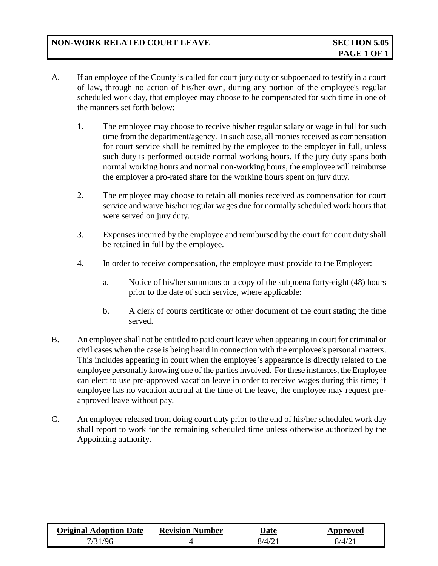- A. If an employee of the County is called for court jury duty or subpoenaed to testify in a court of law, through no action of his/her own, during any portion of the employee's regular scheduled work day, that employee may choose to be compensated for such time in one of the manners set forth below:
	- 1. The employee may choose to receive his/her regular salary or wage in full for such time from the department/agency. In such case, all monies received as compensation for court service shall be remitted by the employee to the employer in full, unless such duty is performed outside normal working hours. If the jury duty spans both normal working hours and normal non-working hours, the employee will reimburse the employer a pro-rated share for the working hours spent on jury duty.
	- 2. The employee may choose to retain all monies received as compensation for court service and waive his/her regular wages due for normally scheduled work hours that were served on jury duty.
	- 3. Expenses incurred by the employee and reimbursed by the court for court duty shall be retained in full by the employee.
	- 4. In order to receive compensation, the employee must provide to the Employer:
		- a. Notice of his/her summons or a copy of the subpoena forty-eight (48) hours prior to the date of such service, where applicable:
		- b. A clerk of courts certificate or other document of the court stating the time served.
- B. An employee shall not be entitled to paid court leave when appearing in court for criminal or civil cases when the case is being heard in connection with the employee's personal matters. This includes appearing in court when the employee's appearance is directly related to the employee personally knowing one of the parties involved. For these instances, the Employee can elect to use pre-approved vacation leave in order to receive wages during this time; if employee has no vacation accrual at the time of the leave, the employee may request preapproved leave without pay.
- C. An employee released from doing court duty prior to the end of his/her scheduled work day shall report to work for the remaining scheduled time unless otherwise authorized by the Appointing authority.

| <b>Original Adoption Date</b> | <b>Revision Number</b> | Date   | Approved |
|-------------------------------|------------------------|--------|----------|
|                               |                        | 8/4/21 | 8/4/2    |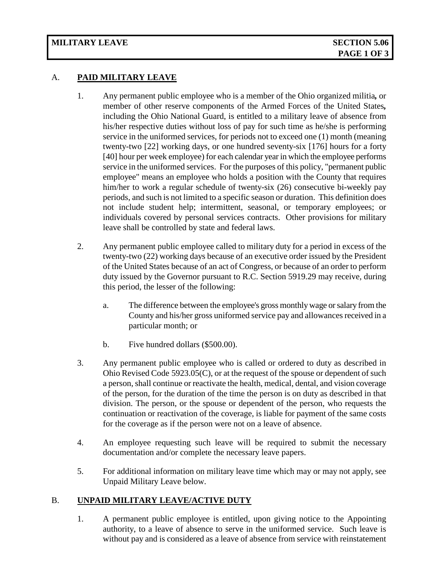## A. **PAID MILITARY LEAVE**

- 1. Any permanent public employee who is a member of the Ohio organized militia*,* or member of other reserve components of the Armed Forces of the United States*,* including the Ohio National Guard, is entitled to a military leave of absence from his/her respective duties without loss of pay for such time as he/she is performing service in the uniformed services, for periods not to exceed one (1) month (meaning twenty-two [22] working days, or one hundred seventy-six [176] hours for a forty [40] hour per week employee) for each calendar year in which the employee performs service in the uniformed services. For the purposes of this policy, "permanent public employee" means an employee who holds a position with the County that requires him/her to work a regular schedule of twenty-six (26) consecutive bi-weekly pay periods, and such is not limited to a specific season or duration. This definition does not include student help; intermittent, seasonal, or temporary employees; or individuals covered by personal services contracts. Other provisions for military leave shall be controlled by state and federal laws.
- 2. Any permanent public employee called to military duty for a period in excess of the twenty-two (22) working days because of an executive order issued by the President of the United States because of an act of Congress, or because of an order to perform duty issued by the Governor pursuant to R.C. Section 5919.29 may receive, during this period, the lesser of the following:
	- a. The difference between the employee's gross monthly wage or salary from the County and his/her gross uniformed service pay and allowances received in a particular month; or
	- b. Five hundred dollars (\$500.00).
- 3. Any permanent public employee who is called or ordered to duty as described in Ohio Revised Code [5923.05\(](http://codes.ohio.gov/orc/5923.05)C), or at the request of the spouse or dependent of such a person, shall continue or reactivate the health, medical, dental, and vision coverage of the person, for the duration of the time the person is on duty as described in that division. The person, or the spouse or dependent of the person, who requests the continuation or reactivation of the coverage, is liable for payment of the same costs for the coverage as if the person were not on a leave of absence.
- 4. An employee requesting such leave will be required to submit the necessary documentation and/or complete the necessary leave papers.
- 5. For additional information on military leave time which may or may not apply, see Unpaid Military Leave below.

### B. **UNPAID MILITARY LEAVE/ACTIVE DUTY**

1. A permanent public employee is entitled, upon giving notice to the Appointing authority, to a leave of absence to serve in the uniformed service. Such leave is without pay and is considered as a leave of absence from service with reinstatement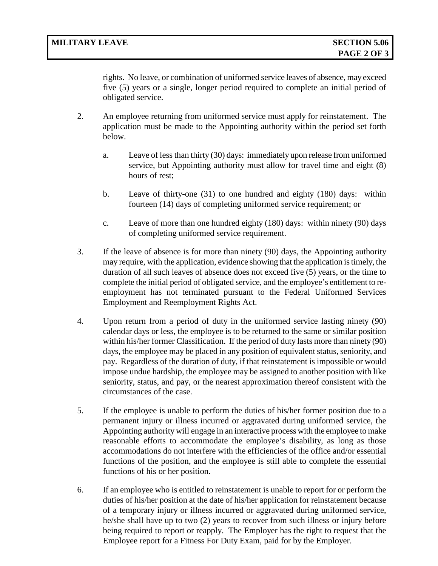rights. No leave, or combination of uniformed service leaves of absence, may exceed five (5) years or a single, longer period required to complete an initial period of obligated service.

- 2. An employee returning from uniformed service must apply for reinstatement. The application must be made to the Appointing authority within the period set forth below.
	- a. Leave of less than thirty (30) days: immediately upon release from uniformed service, but Appointing authority must allow for travel time and eight (8) hours of rest;
	- b. Leave of thirty-one (31) to one hundred and eighty (180) days: within fourteen (14) days of completing uniformed service requirement; or
	- c. Leave of more than one hundred eighty (180) days: within ninety (90) days of completing uniformed service requirement.
- 3. If the leave of absence is for more than ninety (90) days, the Appointing authority may require, with the application, evidence showing that the application is timely, the duration of all such leaves of absence does not exceed five (5) years, or the time to complete the initial period of obligated service, and the employee's entitlement to reemployment has not terminated pursuant to the Federal Uniformed Services Employment and Reemployment Rights Act.
- 4. Upon return from a period of duty in the uniformed service lasting ninety (90) calendar days or less, the employee is to be returned to the same or similar position within his/her former Classification. If the period of duty lasts more than ninety (90) days, the employee may be placed in any position of equivalent status, seniority, and pay. Regardless of the duration of duty, if that reinstatement is impossible or would impose undue hardship, the employee may be assigned to another position with like seniority, status, and pay, or the nearest approximation thereof consistent with the circumstances of the case.
- 5. If the employee is unable to perform the duties of his/her former position due to a permanent injury or illness incurred or aggravated during uniformed service, the Appointing authority will engage in an interactive process with the employee to make reasonable efforts to accommodate the employee's disability, as long as those accommodations do not interfere with the efficiencies of the office and/or essential functions of the position, and the employee is still able to complete the essential functions of his or her position.
- 6. If an employee who is entitled to reinstatement is unable to report for or perform the duties of his/her position at the date of his/her application for reinstatement because of a temporary injury or illness incurred or aggravated during uniformed service, he/she shall have up to two (2) years to recover from such illness or injury before being required to report or reapply. The Employer has the right to request that the Employee report for a Fitness For Duty Exam, paid for by the Employer.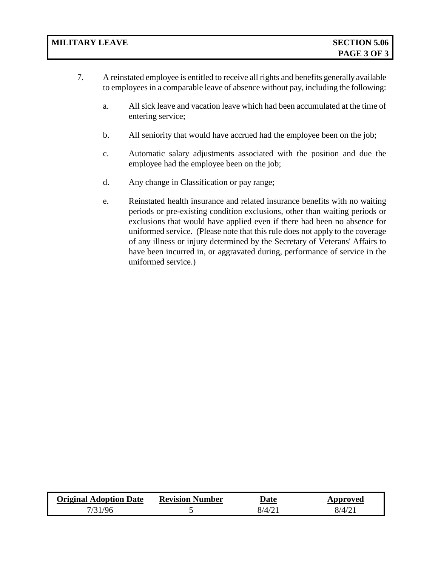- 7. A reinstated employee is entitled to receive all rights and benefits generally available to employees in a comparable leave of absence without pay, including the following:
	- a. All sick leave and vacation leave which had been accumulated at the time of entering service;
	- b. All seniority that would have accrued had the employee been on the job;
	- c. Automatic salary adjustments associated with the position and due the employee had the employee been on the job;
	- d. Any change in Classification or pay range;
	- e. Reinstated health insurance and related insurance benefits with no waiting periods or pre-existing condition exclusions, other than waiting periods or exclusions that would have applied even if there had been no absence for uniformed service. (Please note that this rule does not apply to the coverage of any illness or injury determined by the Secretary of Veterans' Affairs to have been incurred in, or aggravated during, performance of service in the uniformed service.)

| <b>Original Adoption Date</b> | <b>Revision Number</b> | <b>Date</b><br>____ | Approved |
|-------------------------------|------------------------|---------------------|----------|
| $\sqrt{Q}f$                   |                        | 8/4/21              | 8/4/21   |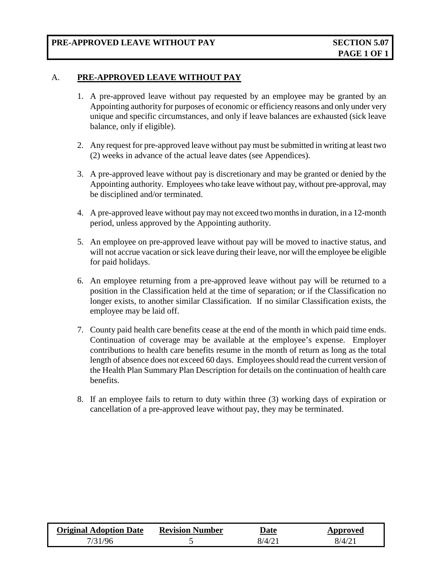#### A. **PRE-APPROVED LEAVE WITHOUT PAY**

- 1. A pre-approved leave without pay requested by an employee may be granted by an Appointing authority for purposes of economic or efficiency reasons and only under very unique and specific circumstances, and only if leave balances are exhausted (sick leave balance, only if eligible).
- 2. Any request for pre-approved leave without pay must be submitted in writing at least two (2) weeks in advance of the actual leave dates (see Appendices).
- 3. A pre-approved leave without pay is discretionary and may be granted or denied by the Appointing authority. Employees who take leave without pay, without pre-approval, may be disciplined and/or terminated.
- 4. A pre-approved leave without pay may not exceed two monthsin duration, in a 12-month period, unless approved by the Appointing authority.
- 5. An employee on pre-approved leave without pay will be moved to inactive status, and will not accrue vacation or sick leave during their leave, nor will the employee be eligible for paid holidays.
- 6. An employee returning from a pre-approved leave without pay will be returned to a position in the Classification held at the time of separation; or if the Classification no longer exists, to another similar Classification. If no similar Classification exists, the employee may be laid off.
- 7. County paid health care benefits cease at the end of the month in which paid time ends. Continuation of coverage may be available at the employee's expense. Employer contributions to health care benefits resume in the month of return as long as the total length of absence does not exceed 60 days. Employees should read the current version of the Health Plan Summary Plan Description for details on the continuation of health care benefits.
- 8. If an employee fails to return to duty within three (3) working days of expiration or cancellation of a pre-approved leave without pay, they may be terminated.

| <b>Original Adoption Date</b> | <b>Revision Number</b> | Jate  | Approved |
|-------------------------------|------------------------|-------|----------|
|                               |                        | 8/4/2 | 8/4/21   |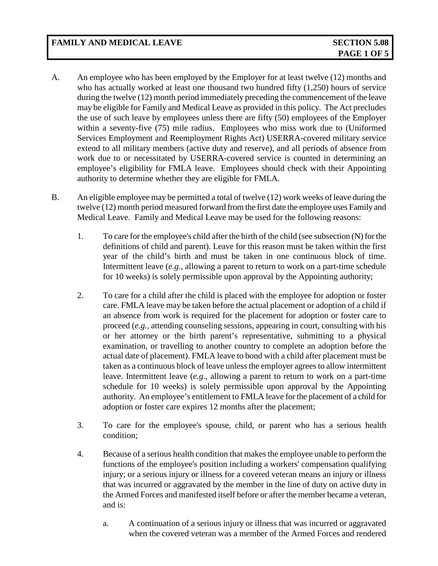- A. An employee who has been employed by the Employer for at least twelve (12) months and who has actually worked at least one thousand two hundred fifty (1,250) hours of service during the twelve (12) month period immediately preceding the commencement of the leave may be eligible for Family and Medical Leave as provided in this policy. The Act precludes the use of such leave by employees unless there are fifty (50) employees of the Employer within a seventy-five (75) mile radius. Employees who miss work due to (Uniformed Services Employment and Reemployment Rights Act) USERRA-covered military service extend to all military members (active duty and reserve), and all periods of absence from work due to or necessitated by USERRA-covered service is counted in determining an employee's eligibility for FMLA leave. Employees should check with their Appointing authority to determine whether they are eligible for FMLA.
- B. An eligible employee may be permitted a total of twelve (12) work weeks of leave during the twelve (12) month period measured forward from the first date the employee uses Family and Medical Leave. Family and Medical Leave may be used for the following reasons:
	- 1. To care for the employee's child after the birth of the child (see subsection (N) for the definitions of child and parent). Leave for this reason must be taken within the first year of the child's birth and must be taken in one continuous block of time. Intermittent leave (*e.g*., allowing a parent to return to work on a part-time schedule for 10 weeks) is solely permissible upon approval by the Appointing authority;
	- 2. To care for a child after the child is placed with the employee for adoption or foster care. FMLA leave may be taken before the actual placement or adoption of a child if an absence from work is required for the placement for adoption or foster care to proceed (*e.g.,* attending counseling sessions, appearing in court, consulting with his or her attorney or the birth parent's representative, submitting to a physical examination, or travelling to another country to complete an adoption before the actual date of placement). FMLA leave to bond with a child after placement must be taken as a continuous block of leave unless the employer agrees to allow intermittent leave. Intermittent leave (*e.g*., allowing a parent to return to work on a part-time schedule for 10 weeks) is solely permissible upon approval by the Appointing authority. An employee's entitlement to FMLA leave for the placement of a child for adoption or foster care expires 12 months after the placement;
	- 3. To care for the employee's spouse, child, or parent who has a serious health condition;
	- 4. Because of a serious health condition that makes the employee unable to perform the functions of the employee's position including a workers' compensation qualifying injury; or a serious injury or illness for a covered veteran means an injury or illness that was incurred or aggravated by the member in the line of duty on active duty in the Armed Forces and manifested itself before or after the member became a veteran, and is:
		- a. A continuation of a serious injury or illness that was incurred or aggravated when the covered veteran was a member of the Armed Forces and rendered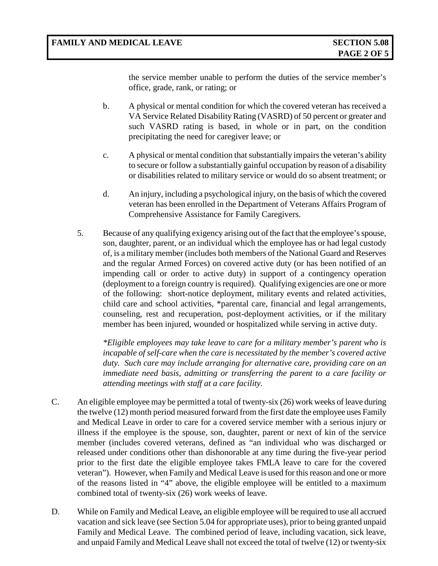the service member unable to perform the duties of the service member's office, grade, rank, or rating; or

- b. A physical or mental condition for which the covered veteran has received a VA Service Related Disability Rating (VASRD) of 50 percent or greater and such VASRD rating is based, in whole or in part, on the condition precipitating the need for caregiver leave; or
- c. A physical or mental condition that substantially impairs the veteran's ability to secure or follow a substantially gainful occupation by reason of a disability or disabilities related to military service or would do so absent treatment; or
- d. An injury, including a psychological injury, on the basis of which the covered veteran has been enrolled in the Department of Veterans Affairs Program of Comprehensive Assistance for Family Caregivers.
- 5. Because of any qualifying exigency arising out of the fact that the employee's spouse, son, daughter, parent, or an individual which the employee has or had legal custody of, is a military member (includes both members of the National Guard and Reserves and the regular Armed Forces) on covered active duty (or has been notified of an impending call or order to active duty) in support of a contingency operation (deployment to a foreign country is required). Qualifying exigencies are one or more of the following: short-notice deployment, military events and related activities, child care and school activities, \*parental care, financial and legal arrangements, counseling, rest and recuperation, post-deployment activities, or if the military member has been injured, wounded or hospitalized while serving in active duty.

*\*Eligible employees may take leave to care for a military member's parent who is incapable of self-care when the care is necessitated by the member's covered active duty. Such care may include arranging for alternative care, providing care on an immediate need basis, admitting or transferring the parent to a care facility or attending meetings with staff at a care facility.*

- C. An eligible employee may be permitted a total of twenty-six (26) work weeks of leave during the twelve (12) month period measured forward from the first date the employee uses Family and Medical Leave in order to care for a covered service member with a serious injury or illness if the employee is the spouse, son, daughter, parent or next of kin of the service member (includes covered veterans, defined as "an individual who was discharged or released under conditions other than dishonorable at any time during the five-year period prior to the first date the eligible employee takes FMLA leave to care for the covered veteran"). However, when Family and Medical Leave is used for this reason and one or more of the reasons listed in "4" above, the eligible employee will be entitled to a maximum combined total of twenty-six (26) work weeks of leave.
- D. While on Family and Medical Leave*,* an eligible employee will be required to use all accrued vacation and sick leave (see Section 5.04 for appropriate uses), prior to being granted unpaid Family and Medical Leave. The combined period of leave, including vacation, sick leave, and unpaid Family and Medical Leave shall not exceed the total of twelve (12) or twenty-six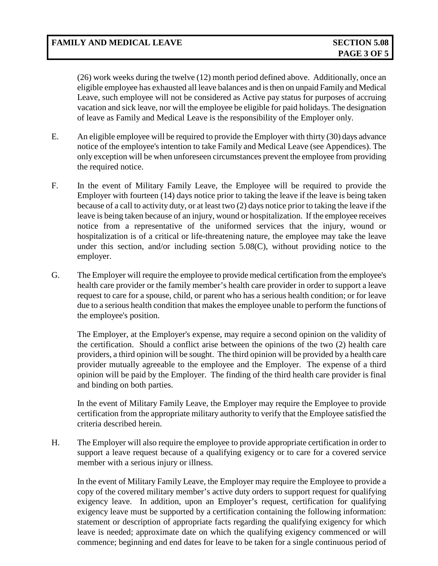(26) work weeks during the twelve (12) month period defined above. Additionally, once an eligible employee has exhausted all leave balances and is then on unpaid Family and Medical Leave, such employee will not be considered as Active pay status for purposes of accruing vacation and sick leave, nor will the employee be eligible for paid holidays. The designation of leave as Family and Medical Leave is the responsibility of the Employer only.

- E. An eligible employee will be required to provide the Employer with thirty (30) days advance notice of the employee's intention to take Family and Medical Leave (see Appendices). The only exception will be when unforeseen circumstances prevent the employee from providing the required notice.
- F. In the event of Military Family Leave, the Employee will be required to provide the Employer with fourteen (14) days notice prior to taking the leave if the leave is being taken because of a call to activity duty, or at least two (2) days notice prior to taking the leave if the leave is being taken because of an injury, wound or hospitalization. If the employee receives notice from a representative of the uniformed services that the injury, wound or hospitalization is of a critical or life-threatening nature, the employee may take the leave under this section, and/or including section 5.08(C), without providing notice to the employer.
- G. The Employer will require the employee to provide medical certification from the employee's health care provider or the family member's health care provider in order to support a leave request to care for a spouse, child, or parent who has a serious health condition; or for leave due to a serious health condition that makes the employee unable to perform the functions of the employee's position.

The Employer, at the Employer's expense, may require a second opinion on the validity of the certification. Should a conflict arise between the opinions of the two (2) health care providers, a third opinion will be sought. The third opinion will be provided by a health care provider mutually agreeable to the employee and the Employer. The expense of a third opinion will be paid by the Employer. The finding of the third health care provider is final and binding on both parties.

In the event of Military Family Leave, the Employer may require the Employee to provide certification from the appropriate military authority to verify that the Employee satisfied the criteria described herein.

H. The Employer will also require the employee to provide appropriate certification in order to support a leave request because of a qualifying exigency or to care for a covered service member with a serious injury or illness.

In the event of Military Family Leave, the Employer may require the Employee to provide a copy of the covered military member's active duty orders to support request for qualifying exigency leave. In addition, upon an Employer's request, certification for qualifying exigency leave must be supported by a certification containing the following information: statement or description of appropriate facts regarding the qualifying exigency for which leave is needed; approximate date on which the qualifying exigency commenced or will commence; beginning and end dates for leave to be taken for a single continuous period of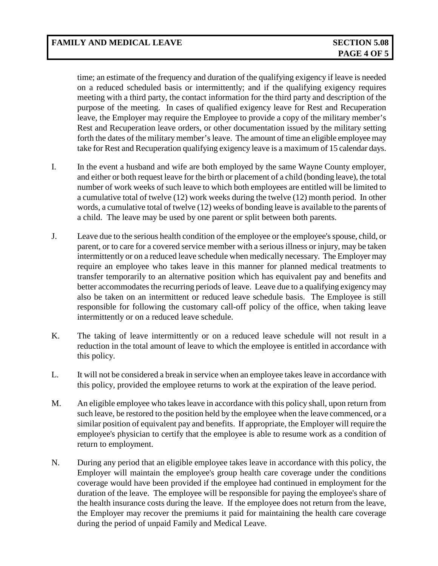time; an estimate of the frequency and duration of the qualifying exigency if leave is needed on a reduced scheduled basis or intermittently; and if the qualifying exigency requires meeting with a third party, the contact information for the third party and description of the purpose of the meeting. In cases of qualified exigency leave for Rest and Recuperation leave, the Employer may require the Employee to provide a copy of the military member's Rest and Recuperation leave orders, or other documentation issued by the military setting forth the dates of the military member's leave. The amount of time an eligible employee may take for Rest and Recuperation qualifying exigency leave is a maximum of 15 calendar days.

- I. In the event a husband and wife are both employed by the same Wayne County employer, and either or both request leave for the birth or placement of a child (bonding leave), the total number of work weeks of such leave to which both employees are entitled will be limited to a cumulative total of twelve (12) work weeks during the twelve (12) month period. In other words, a cumulative total of twelve (12) weeks of bonding leave is available to the parents of a child. The leave may be used by one parent or split between both parents.
- J. Leave due to the serious health condition of the employee or the employee's spouse, child, or parent, or to care for a covered service member with a serious illness or injury, may be taken intermittently or on a reduced leave schedule when medically necessary. The Employer may require an employee who takes leave in this manner for planned medical treatments to transfer temporarily to an alternative position which has equivalent pay and benefits and better accommodates the recurring periods of leave. Leave due to a qualifying exigency may also be taken on an intermittent or reduced leave schedule basis. The Employee is still responsible for following the customary call-off policy of the office, when taking leave intermittently or on a reduced leave schedule.
- K. The taking of leave intermittently or on a reduced leave schedule will not result in a reduction in the total amount of leave to which the employee is entitled in accordance with this policy.
- L. It will not be considered a break in service when an employee takes leave in accordance with this policy, provided the employee returns to work at the expiration of the leave period.
- M. An eligible employee who takes leave in accordance with this policy shall, upon return from such leave, be restored to the position held by the employee when the leave commenced, or a similar position of equivalent pay and benefits. If appropriate, the Employer will require the employee's physician to certify that the employee is able to resume work as a condition of return to employment.
- N. During any period that an eligible employee takes leave in accordance with this policy, the Employer will maintain the employee's group health care coverage under the conditions coverage would have been provided if the employee had continued in employment for the duration of the leave. The employee will be responsible for paying the employee's share of the health insurance costs during the leave. If the employee does not return from the leave, the Employer may recover the premiums it paid for maintaining the health care coverage during the period of unpaid Family and Medical Leave.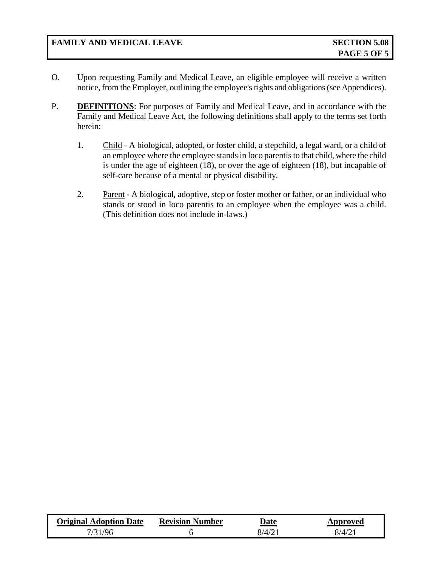- O. Upon requesting Family and Medical Leave, an eligible employee will receive a written notice, from the Employer, outlining the employee's rights and obligations (see Appendices).
- P. **DEFINITIONS**: For purposes of Family and Medical Leave, and in accordance with the Family and Medical Leave Act, the following definitions shall apply to the terms set forth herein:
	- 1. Child A biological, adopted, or foster child, a stepchild, a legal ward, or a child of an employee where the employee stands in loco parentis to that child, where the child is under the age of eighteen (18), or over the age of eighteen (18), but incapable of self-care because of a mental or physical disability.
	- 2. Parent A biological*,* adoptive, step or foster mother or father, or an individual who stands or stood in loco parentis to an employee when the employee was a child. (This definition does not include in-laws.)

| <b>Original Adoption Date</b> | <b>Revision Number</b> | Date   | Approved |
|-------------------------------|------------------------|--------|----------|
|                               |                        | 8/4/21 | 8/4/2    |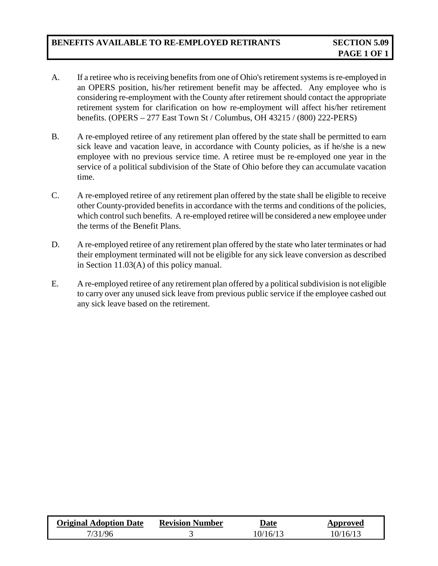- A. If a retiree who is receiving benefits from one of Ohio's retirement systems is re-employed in an OPERS position, his/her retirement benefit may be affected. Any employee who is considering re-employment with the County after retirement should contact the appropriate retirement system for clarification on how re-employment will affect his/her retirement benefits. (OPERS – 277 East Town St / Columbus, OH 43215 / (800) 222-PERS)
- B. A re-employed retiree of any retirement plan offered by the state shall be permitted to earn sick leave and vacation leave, in accordance with County policies, as if he/she is a new employee with no previous service time. A retiree must be re-employed one year in the service of a political subdivision of the State of Ohio before they can accumulate vacation time.
- C. A re-employed retiree of any retirement plan offered by the state shall be eligible to receive other County-provided benefits in accordance with the terms and conditions of the policies, which control such benefits. A re-employed retiree will be considered a new employee under the terms of the Benefit Plans.
- D. A re-employed retiree of any retirement plan offered by the state who later terminates or had their employment terminated will not be eligible for any sick leave conversion as described in Section 11.03(A) of this policy manual.
- E. A re-employed retiree of any retirement plan offered by a political subdivision is not eligible to carry over any unused sick leave from previous public service if the employee cashed out any sick leave based on the retirement.

| <b>Original Adoption Date</b> | <b>Revision Number</b> | Date     | Approved |
|-------------------------------|------------------------|----------|----------|
| 7/31/96                       |                        | 10/16/13 | 10/16/13 |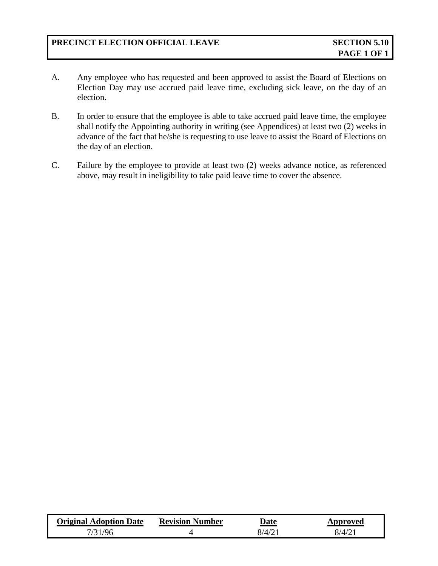- A. Any employee who has requested and been approved to assist the Board of Elections on Election Day may use accrued paid leave time, excluding sick leave, on the day of an election.
- B. In order to ensure that the employee is able to take accrued paid leave time, the employee shall notify the Appointing authority in writing (see Appendices) at least two (2) weeks in advance of the fact that he/she is requesting to use leave to assist the Board of Elections on the day of an election.
- C. Failure by the employee to provide at least two (2) weeks advance notice, as referenced above, may result in ineligibility to take paid leave time to cover the absence.

| <b>Original Adoption Date</b> | <b>Revision Number</b> | Date      | Approved |
|-------------------------------|------------------------|-----------|----------|
|                               |                        | $8/4/2^7$ | 8/4/2    |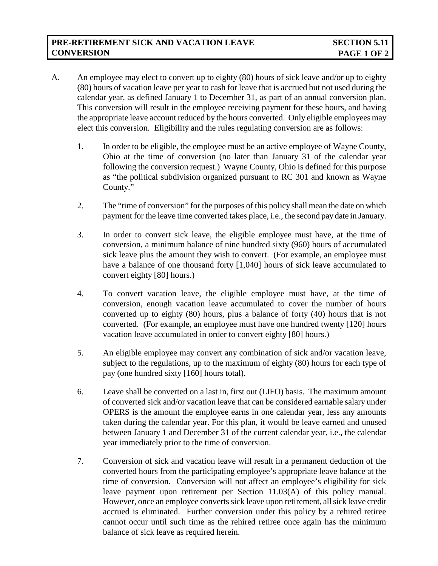# **PRE-RETIREMENT SICK AND VACATION LEAVE CONVERSION**

- A. An employee may elect to convert up to eighty (80) hours of sick leave and/or up to eighty (80) hours of vacation leave per year to cash for leave that is accrued but not used during the calendar year, as defined January 1 to December 31, as part of an annual conversion plan. This conversion will result in the employee receiving payment for these hours, and having the appropriate leave account reduced by the hours converted. Only eligible employees may elect this conversion. Eligibility and the rules regulating conversion are as follows:
	- 1. In order to be eligible, the employee must be an active employee of Wayne County, Ohio at the time of conversion (no later than January 31 of the calendar year following the conversion request.) Wayne County, Ohio is defined for this purpose as "the political subdivision organized pursuant to RC 301 and known as Wayne County."
	- 2. The "time of conversion" for the purposes of this policy shall mean the date on which payment for the leave time converted takes place, i.e., the second pay date in January.
	- 3. In order to convert sick leave, the eligible employee must have, at the time of conversion, a minimum balance of nine hundred sixty (960) hours of accumulated sick leave plus the amount they wish to convert. (For example, an employee must have a balance of one thousand forty [1,040] hours of sick leave accumulated to convert eighty [80] hours.)
	- 4. To convert vacation leave, the eligible employee must have, at the time of conversion, enough vacation leave accumulated to cover the number of hours converted up to eighty (80) hours, plus a balance of forty (40) hours that is not converted. (For example, an employee must have one hundred twenty [120] hours vacation leave accumulated in order to convert eighty [80] hours.)
	- 5. An eligible employee may convert any combination of sick and/or vacation leave, subject to the regulations, up to the maximum of eighty (80) hours for each type of pay (one hundred sixty [160] hours total).
	- 6. Leave shall be converted on a last in, first out (LIFO) basis. The maximum amount of converted sick and/or vacation leave that can be considered earnable salary under OPERS is the amount the employee earns in one calendar year, less any amounts taken during the calendar year. For this plan, it would be leave earned and unused between January 1 and December 31 of the current calendar year, i.e., the calendar year immediately prior to the time of conversion.
	- 7. Conversion of sick and vacation leave will result in a permanent deduction of the converted hours from the participating employee's appropriate leave balance at the time of conversion. Conversion will not affect an employee's eligibility for sick leave payment upon retirement per Section 11.03(A) of this policy manual. However, once an employee converts sick leave upon retirement, all sick leave credit accrued is eliminated. Further conversion under this policy by a rehired retiree cannot occur until such time as the rehired retiree once again has the minimum balance of sick leave as required herein.